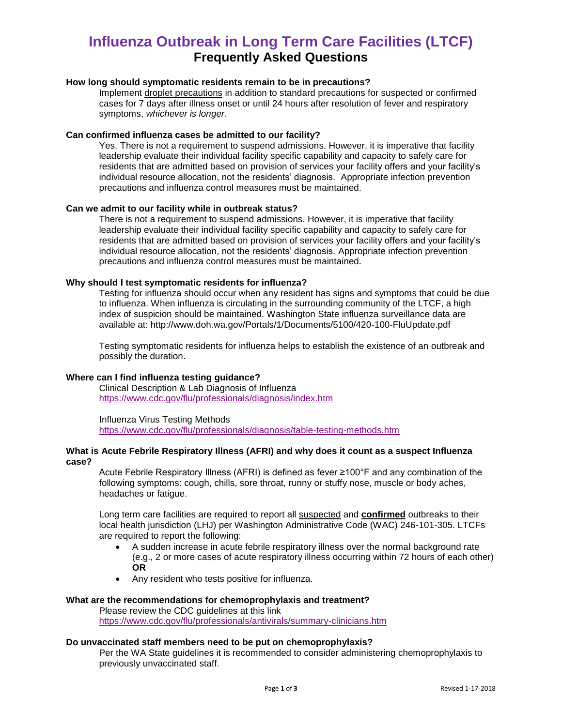### **Influenza Outbreak in Long Term Care Facilities (LTCF) Frequently Asked Questions**

#### **How long should symptomatic residents remain to be in precautions?**

Implement droplet precautions in addition to standard precautions for suspected or confirmed cases for 7 days after illness onset or until 24 hours after resolution of fever and respiratory symptoms, *whichever is longer*.

#### **Can confirmed influenza cases be admitted to our facility?**

Yes. There is not a requirement to suspend admissions. However, it is imperative that facility leadership evaluate their individual facility specific capability and capacity to safely care for residents that are admitted based on provision of services your facility offers and your facility's individual resource allocation, not the residents' diagnosis. Appropriate infection prevention precautions and influenza control measures must be maintained.

#### **Can we admit to our facility while in outbreak status?**

There is not a requirement to suspend admissions. However, it is imperative that facility leadership evaluate their individual facility specific capability and capacity to safely care for residents that are admitted based on provision of services your facility offers and your facility's individual resource allocation, not the residents' diagnosis. Appropriate infection prevention precautions and influenza control measures must be maintained.

#### **Why should I test symptomatic residents for influenza?**

Testing for influenza should occur when any resident has signs and symptoms that could be due to influenza. When influenza is circulating in the surrounding community of the LTCF, a high index of suspicion should be maintained. Washington State influenza surveillance data are available at: http://www.doh.wa.gov/Portals/1/Documents/5100/420-100-FluUpdate.pdf

Testing symptomatic residents for influenza helps to establish the existence of an outbreak and possibly the duration.

#### **Where can I find influenza testing guidance?**

Clinical Description & Lab Diagnosis of Influenza <https://www.cdc.gov/flu/professionals/diagnosis/index.htm>

Influenza Virus Testing Methods <https://www.cdc.gov/flu/professionals/diagnosis/table-testing-methods.htm>

#### **What is Acute Febrile Respiratory Illness (AFRI) and why does it count as a suspect Influenza case?**

Acute Febrile Respiratory Illness (AFRI) is defined as fever ≥100°F and any combination of the following symptoms: cough, chills, sore throat, runny or stuffy nose, muscle or body aches, headaches or fatigue.

Long term care facilities are required to report all suspected and **confirmed** outbreaks to their local health jurisdiction (LHJ) per Washington Administrative Code (WAC) 246-101-305. LTCFs are required to report the following:

- A sudden increase in acute febrile respiratory illness over the normal background rate (e.g., 2 or more cases of acute respiratory illness occurring within 72 hours of each other) **OR**
- Any resident who tests positive for influenza.

#### **What are the recommendations for chemoprophylaxis and treatment?**

Please review the CDC guidelines at this link <https://www.cdc.gov/flu/professionals/antivirals/summary-clinicians.htm>

#### **Do unvaccinated staff members need to be put on chemoprophylaxis?**

Per the WA State guidelines it is recommended to consider administering chemoprophylaxis to previously unvaccinated staff.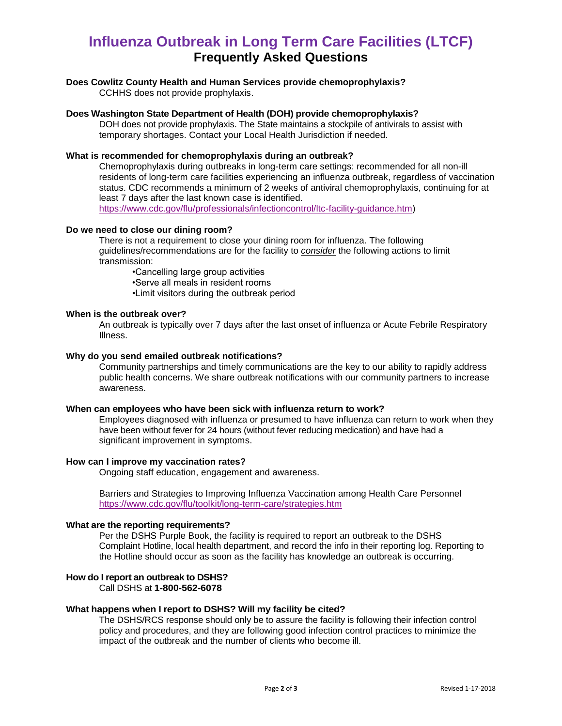## **Influenza Outbreak in Long Term Care Facilities (LTCF) Frequently Asked Questions**

#### **Does Cowlitz County Health and Human Services provide chemoprophylaxis?**

CCHHS does not provide prophylaxis.

#### **Does Washington State Department of Health (DOH) provide chemoprophylaxis?**

DOH does not provide prophylaxis. The State maintains a stockpile of antivirals to assist with temporary shortages. Contact your Local Health Jurisdiction if needed.

#### **What is recommended for chemoprophylaxis during an outbreak?**

Chemoprophylaxis during outbreaks in long-term care settings: recommended for all non-ill residents of long-term care facilities experiencing an influenza outbreak, regardless of vaccination status. CDC recommends a minimum of 2 weeks of antiviral chemoprophylaxis, continuing for at least 7 days after the last known case is identified. [https://www.cdc.gov/flu/professionals/infectioncontrol/ltc-facility-guidance.htm\)](https://www.cdc.gov/flu/professionals/infectioncontrol/ltc-facility-guidance.htm)

#### **Do we need to close our dining room?**

There is not a requirement to close your dining room for influenza. The following guidelines/recommendations are for the facility to *consider* the following actions to limit transmission:

•Cancelling large group activities

•Serve all meals in resident rooms

•Limit visitors during the outbreak period

#### **When is the outbreak over?**

An outbreak is typically over 7 days after the last onset of influenza or Acute Febrile Respiratory Illness.

#### **Why do you send emailed outbreak notifications?**

Community partnerships and timely communications are the key to our ability to rapidly address public health concerns. We share outbreak notifications with our community partners to increase awareness.

#### **When can employees who have been sick with influenza return to work?**

Employees diagnosed with influenza or presumed to have influenza can return to work when they have been without fever for 24 hours (without fever reducing medication) and have had a significant improvement in symptoms.

#### **How can I improve my vaccination rates?**

Ongoing staff education, engagement and awareness.

Barriers and Strategies to Improving Influenza Vaccination among Health Care Personnel <https://www.cdc.gov/flu/toolkit/long-term-care/strategies.htm>

#### **What are the reporting requirements?**

Per the DSHS Purple Book, the facility is required to report an outbreak to the DSHS Complaint Hotline, local health department, and record the info in their reporting log. Reporting to the Hotline should occur as soon as the facility has knowledge an outbreak is occurring.

#### **How do I report an outbreak to DSHS?**

Call DSHS at **1-800-562-6078**

#### **What happens when I report to DSHS? Will my facility be cited?**

The DSHS/RCS response should only be to assure the facility is following their infection control policy and procedures, and they are following good infection control practices to minimize the impact of the outbreak and the number of clients who become ill.